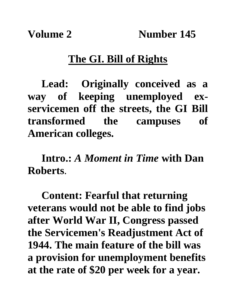## **The GI. Bill of Rights**

**Lead: Originally conceived as a way of keeping unemployed exservicemen off the streets, the GI Bill transformed the campuses of American colleges.**

**Intro.:** *A Moment in Time* **with Dan Roberts**.

**Content: Fearful that returning veterans would not be able to find jobs after World War II, Congress passed the Servicemen's Readjustment Act of 1944. The main feature of the bill was a provision for unemployment benefits at the rate of \$20 per week for a year.**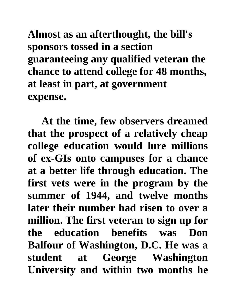**Almost as an afterthought, the bill's sponsors tossed in a section guaranteeing any qualified veteran the chance to attend college for 48 months, at least in part, at government expense.**

**At the time, few observers dreamed that the prospect of a relatively cheap college education would lure millions of ex-GIs onto campuses for a chance at a better life through education. The first vets were in the program by the summer of 1944, and twelve months later their number had risen to over a million. The first veteran to sign up for the education benefits was Don Balfour of Washington, D.C. He was a student at George Washington University and within two months he**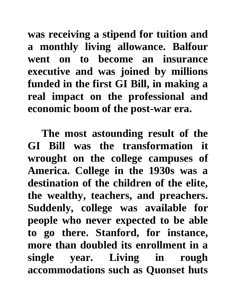**was receiving a stipend for tuition and a monthly living allowance. Balfour went on to become an insurance executive and was joined by millions funded in the first GI Bill, in making a real impact on the professional and economic boom of the post-war era.**

**The most astounding result of the GI Bill was the transformation it wrought on the college campuses of America. College in the 1930s was a destination of the children of the elite, the wealthy, teachers, and preachers. Suddenly, college was available for people who never expected to be able to go there. Stanford, for instance, more than doubled its enrollment in a single year. Living in rough accommodations such as Quonset huts**